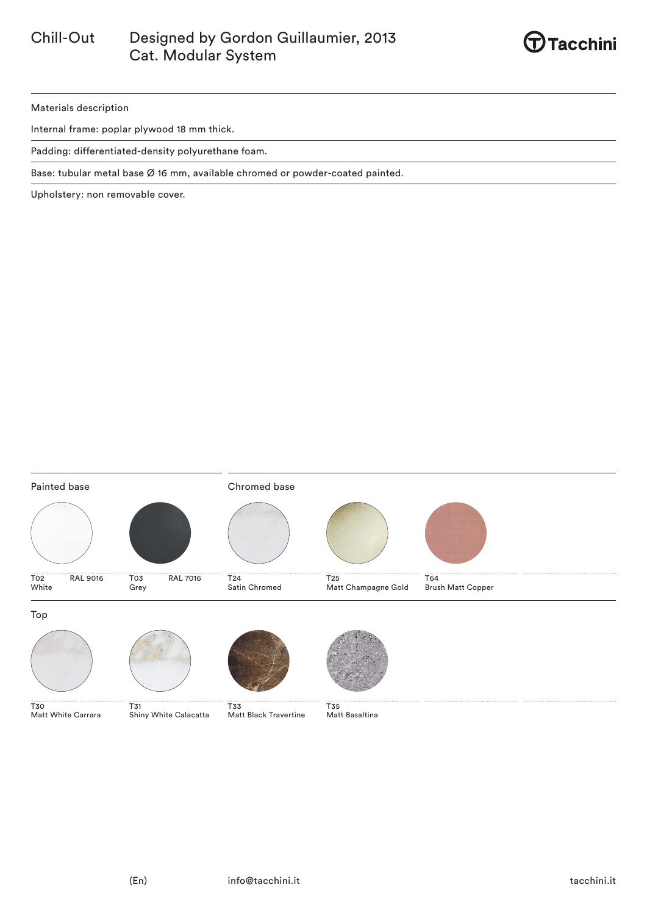

Materials description

Internal frame: poplar plywood 18 mm thick.

Padding: differentiated-density polyurethane foam.

Base: tubular metal base Ø 16 mm, available chromed or powder-coated painted.

Upholstery: non removable cover.